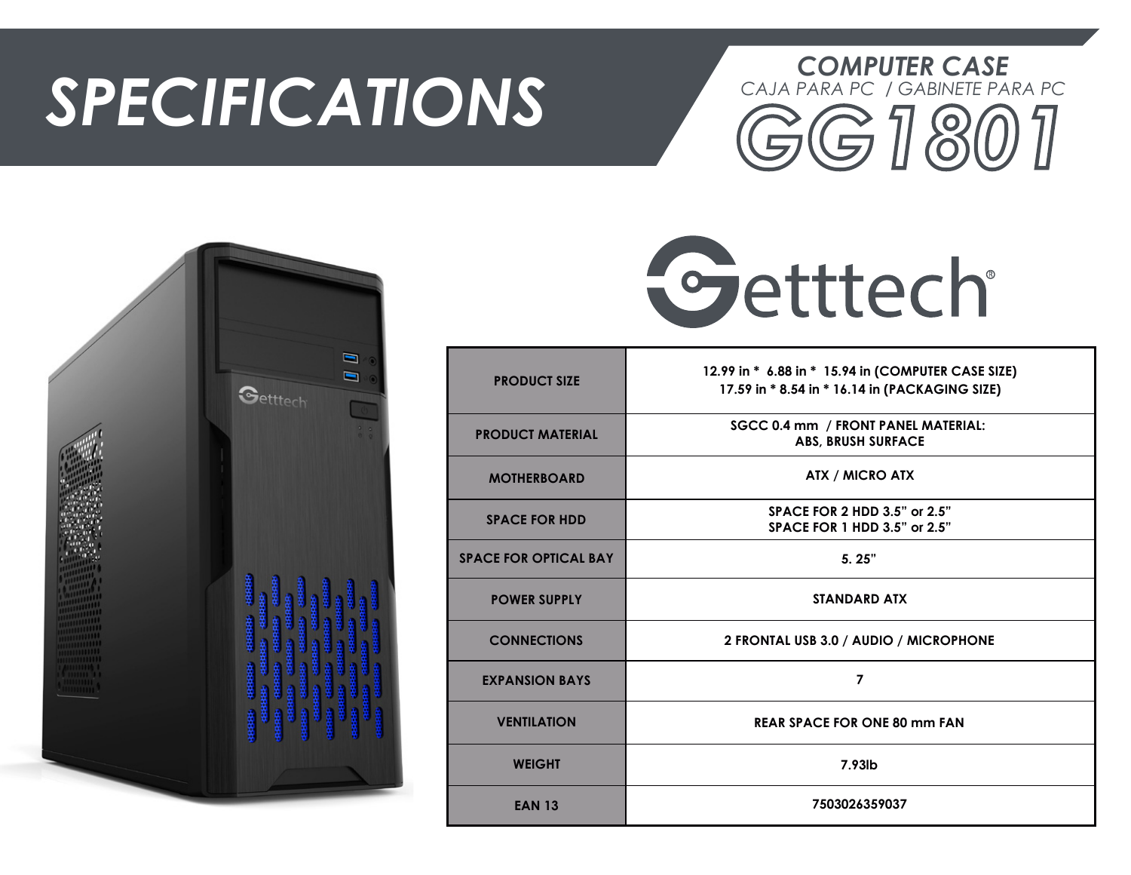## *SPECIFICATIONS*







| <b>PRODUCT SIZE</b>          | 12.99 in * 6.88 in * 15.94 in (COMPUTER CASE SIZE)<br>17.59 in * 8.54 in * 16.14 in (PACKAGING SIZE) |
|------------------------------|------------------------------------------------------------------------------------------------------|
| <b>PRODUCT MATERIAL</b>      | SGCC 0.4 mm / FRONT PANEL MATERIAL:<br><b>ABS, BRUSH SURFACE</b>                                     |
| <b>MOTHERBOARD</b>           | <b>ATX / MICRO ATX</b>                                                                               |
| <b>SPACE FOR HDD</b>         | <b>SPACE FOR 2 HDD 3.5" or 2.5"</b><br><b>SPACE FOR 1 HDD 3.5" or 2.5"</b>                           |
| <b>SPACE FOR OPTICAL BAY</b> | 5.25"                                                                                                |
| <b>POWER SUPPLY</b>          | <b>STANDARD ATX</b>                                                                                  |
| <b>CONNECTIONS</b>           | 2 FRONTAL USB 3.0 / AUDIO / MICROPHONE                                                               |
| <b>EXPANSION BAYS</b>        | 7                                                                                                    |
| <b>VENTILATION</b>           | <b>REAR SPACE FOR ONE 80 mm FAN</b>                                                                  |
| <b>WEIGHT</b>                | 7.93lb                                                                                               |
| <b>EAN 13</b>                | 7503026359037                                                                                        |